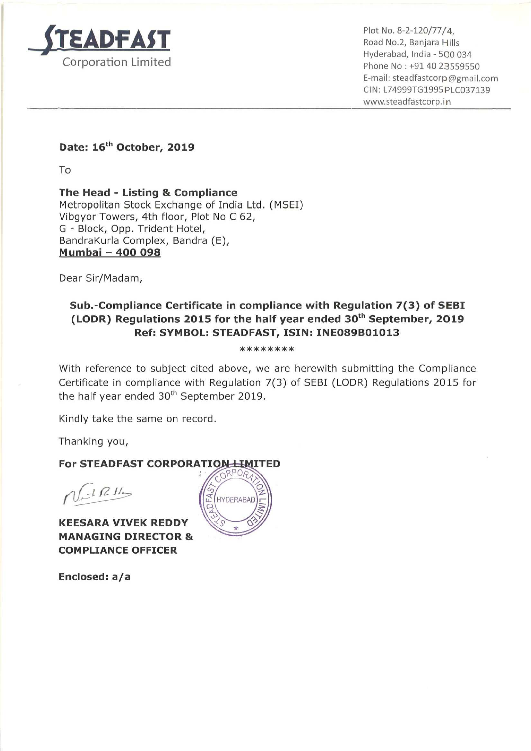

 . \_ Hyderabad, India - 500 034 Phone No : +91 40 23559550 E-mail: steadfastcorp@gmail.com Cl N: L74999T61995 PLC037139 www.5teadfastcorp.in

Date: 16<sup>th</sup> October, 2019

To

The Head - Listing & Compliance Metropolitan Stock Exchange of India Ltd. (MSEI) Vibgyor Towers, 4th floor, Plot No <sup>C</sup> 62, G - Block, Opp. Trident Hotel, BandraKurla Complex, Bandra (E), Mumbai — 400 098

Dear Sir/Madam,

## Sub.-Compliance Certificate in compliance with Regulation 7(3) of SEBI (LODR) Regulations 2015 for the half year ended  $30<sup>th</sup>$  September, 2019 Ref: SYMBOL: STEADFAST, ISIN: INE089B01013

## \*\*\*\*\*\*\*\*

With reference to subject cited above, we are herewith submitting the Compliance Certificate in compliance with Regulation 7(3) of SEBI (LODR) Regulations 2015 for the half year ended  $30<sup>th</sup>$  September 2019.

Kindly take the same on record.

Thanking you,

## For STEADFAST CORPORATION LIMITED

 $\int_{\mathbb{R}^2}$  if  $\int$   $\frac{1}{2}$ 

KEESARA VIVEK REDDY MANAGING DIRECTOR & COMPLIANCE OFFICER

Enclosed: a/a